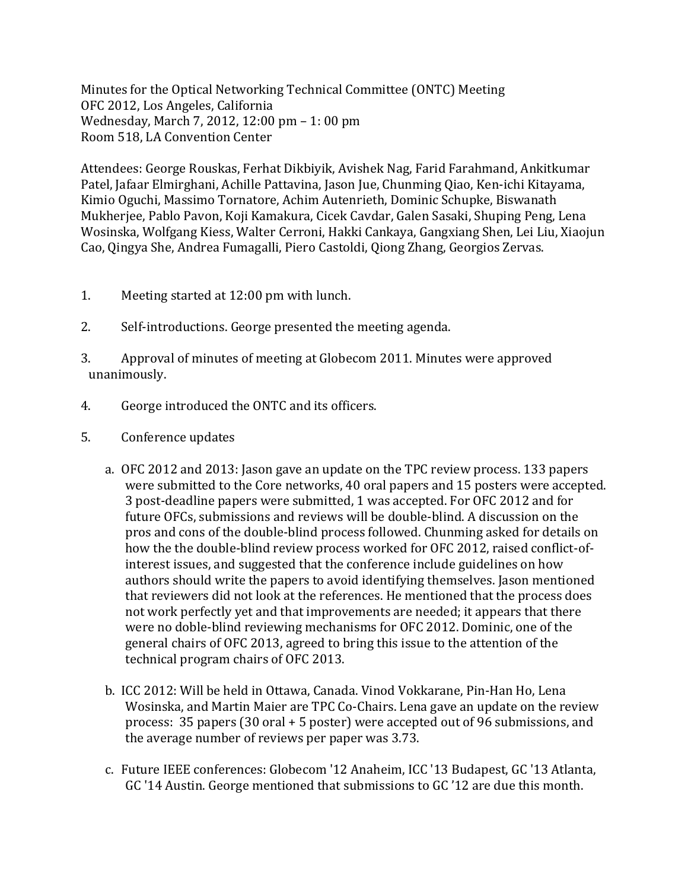Minutes for the Optical Networking Technical Committee (ONTC) Meeting OFC 2012, Los Angeles, California Wednesday, March 7, 2012, 12:00 pm - 1: 00 pm Room 518, LA Convention Center

Attendees: George Rouskas, Ferhat Dikbiyik, Avishek Nag, Farid Farahmand, Ankitkumar Patel, Jafaar Elmirghani, Achille Pattavina, Jason Jue, Chunming Qiao, Ken-ichi Kitayama, Kimio Oguchi, Massimo Tornatore, Achim Autenrieth, Dominic Schupke, Biswanath Mukherjee, Pablo Pavon, Koji Kamakura, Cicek Cavdar, Galen Sasaki, Shuping Peng, Lena Wosinska, Wolfgang Kiess, Walter Cerroni, Hakki Cankaya, Gangxiang Shen, Lei Liu, Xiaojun Cao, Qingya She, Andrea Fumagalli, Piero Castoldi, Qiong Zhang, Georgios Zervas.

- 1. Meeting started at 12:00 pm with lunch.
- 2. Self-introductions. George presented the meeting agenda.
- 3. Approval of minutes of meeting at Globecom 2011. Minutes were approved unanimously.
- 4. George introduced the ONTC and its officers.
- 5. Conference updates
	- a. OFC 2012 and 2013: Jason gave an update on the TPC review process. 133 papers were submitted to the Core networks, 40 oral papers and 15 posters were accepted. 3 post-deadline papers were submitted, 1 was accepted. For OFC 2012 and for future OFCs, submissions and reviews will be double-blind. A discussion on the pros and cons of the double-blind process followed. Chunming asked for details on how the the double-blind review process worked for OFC 2012, raised conflict-ofinterest issues, and suggested that the conference include guidelines on how authors should write the papers to avoid identifying themselves. Jason mentioned that reviewers did not look at the references. He mentioned that the process does not work perfectly yet and that improvements are needed; it appears that there were no doble-blind reviewing mechanisms for OFC 2012. Dominic, one of the general chairs of OFC 2013, agreed to bring this issue to the attention of the technical program chairs of OFC 2013.
	- b. ICC 2012: Will be held in Ottawa, Canada. Vinod Vokkarane, Pin-Han Ho, Lena Wosinska, and Martin Maier are TPC Co-Chairs. Lena gave an update on the review process:  $35$  papers  $(30 \text{ oral} + 5 \text{ poster})$  were accepted out of 96 submissions, and the average number of reviews per paper was 3.73.
	- c. Future IEEE conferences: Globecom '12 Anaheim, ICC '13 Budapest, GC '13 Atlanta, GC '14 Austin. George mentioned that submissions to GC '12 are due this month.